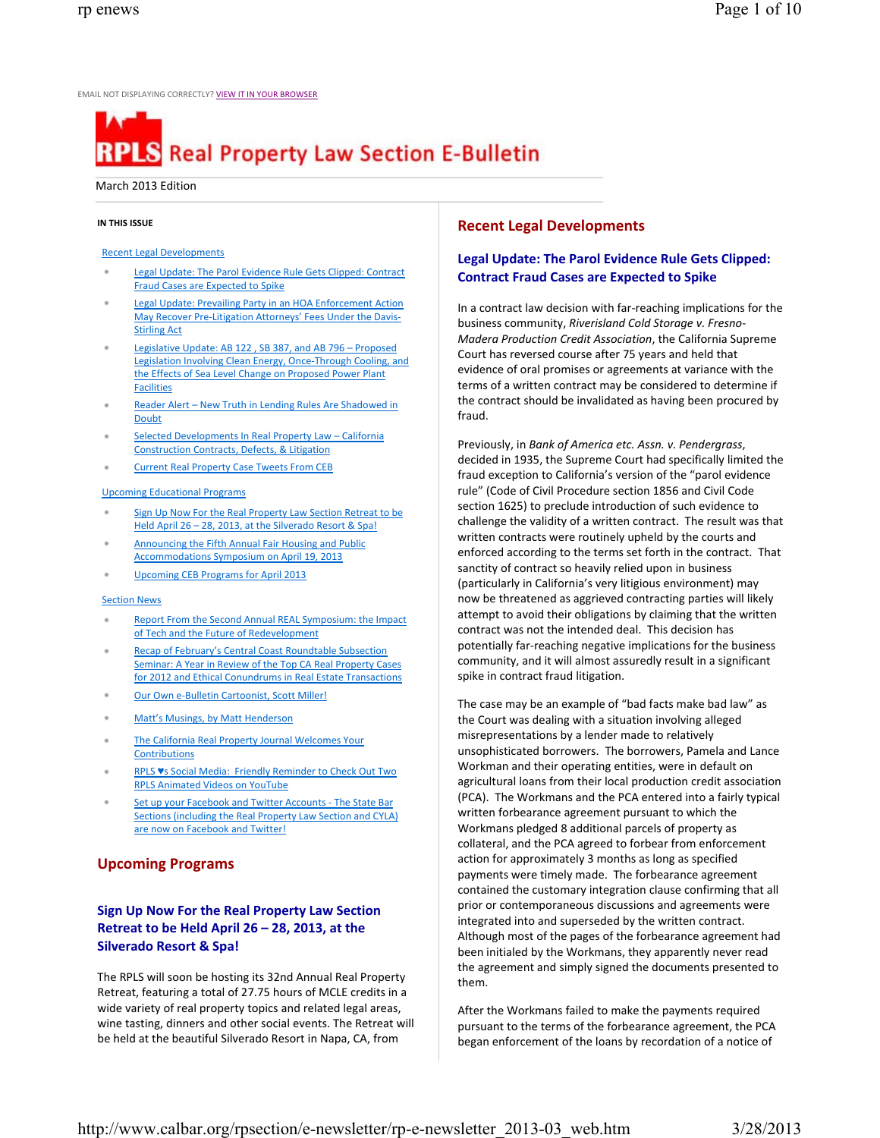EMAIL NOT DISPLAYING CORRECTLY? VIEW IT IN YOUR BROWSER

# **RPLS** Real Property Law Section E-Bulletin

#### March 2013 Edition

## **IN THIS ISSUE**

## Recent Legal Developments

- Legal Update: The Parol Evidence Rule Gets Clipped: Contract Fraud Cases are Expected to Spike
- Legal Update: Prevailing Party in an HOA Enforcement Action May Recover PreLitigation Attorneys' Fees Under the Davis-Stirling Act
- Legislative Update: AB 122 , SB 387, and AB 796 Proposed Legislation Involving Clean Energy, Once-Through Cooling, and the Effects of Sea Level Change on Proposed Power Plant Facilities
- Reader Alert New Truth in Lending Rules Are Shadowed in Doubt
- Selected Developments In Real Property Law California Construction Contracts, Defects, & Litigation
- Current Real Property Case Tweets From CEB

## Upcoming Educational Programs

- Sign Up Now For the Real Property Law Section Retreat to be Held April 26 – 28, 2013, at the Silverado Resort & Spa!
- Announcing the Fifth Annual Fair Housing and Public Accommodations Symposium on April 19, 2013
- Upcoming CEB Programs for April 2013

#### Section News

- Report From the Second Annual REAL Symposium: the Impact of Tech and the Future of Redevelopment
- Recap of February's Central Coast Roundtable Subsection Seminar: A Year in Review of the Top CA Real Property Cases for 2012 and Ethical Conundrums in Real Estate Transactions
- Our Own e-Bulletin Cartoonist, Scott Miller!
- Matt's Musings, by Matt Henderson
- The California Real Property Journal Welcomes Your **Contributions**
- RPLS ♥s Social Media: Friendly Reminder to Check Out Two RPLS Animated Videos on YouTube
- Set up your Facebook and Twitter Accounts The State Bar Sections (including the Real Property Law Section and CYLA) are now on Facebook and Twitter!

# **Upcoming Programs**

## **Sign Up Now For the Real Property Law Section Retreat to be Held April 26 – 28, 2013, at the Silverado Resort & Spa!**

The RPLS will soon be hosting its 32nd Annual Real Property Retreat, featuring a total of 27.75 hours of MCLE credits in a wide variety of real property topics and related legal areas, wine tasting, dinners and other social events. The Retreat will be held at the beautiful Silverado Resort in Napa, CA, from

# **Recent Legal Developments**

## **Legal Update: The Parol Evidence Rule Gets Clipped: Contract Fraud Cases are Expected to Spike**

In a contract law decision with far-reaching implications for the business community, *Riverisland Cold Storage v. Fresno-Madera Production Credit Association*, the California Supreme Court has reversed course after 75 years and held that evidence of oral promises or agreements at variance with the terms of a written contract may be considered to determine if the contract should be invalidated as having been procured by fraud.

Previously, in *Bank of America etc. Assn. v. Pendergrass*, decided in 1935, the Supreme Court had specifically limited the fraud exception to California's version of the "parol evidence rule" (Code of Civil Procedure section 1856 and Civil Code section 1625) to preclude introduction of such evidence to challenge the validity of a written contract. The result was that written contracts were routinely upheld by the courts and enforced according to the terms set forth in the contract. That sanctity of contract so heavily relied upon in business (particularly in California's very litigious environment) may now be threatened as aggrieved contracting parties will likely attempt to avoid their obligations by claiming that the written contract was not the intended deal. This decision has potentially far-reaching negative implications for the business community, and it will almost assuredly result in a significant spike in contract fraud litigation.

The case may be an example of "bad facts make bad law" as the Court was dealing with a situation involving alleged misrepresentations by a lender made to relatively unsophisticated borrowers. The borrowers, Pamela and Lance Workman and their operating entities, were in default on agricultural loans from their local production credit association (PCA). The Workmans and the PCA entered into a fairly typical written forbearance agreement pursuant to which the Workmans pledged 8 additional parcels of property as collateral, and the PCA agreed to forbear from enforcement action for approximately 3 months as long as specified payments were timely made. The forbearance agreement contained the customary integration clause confirming that all prior or contemporaneous discussions and agreements were integrated into and superseded by the written contract. Although most of the pages of the forbearance agreement had been initialed by the Workmans, they apparently never read the agreement and simply signed the documents presented to them.

After the Workmans failed to make the payments required pursuant to the terms of the forbearance agreement, the PCA began enforcement of the loans by recordation of a notice of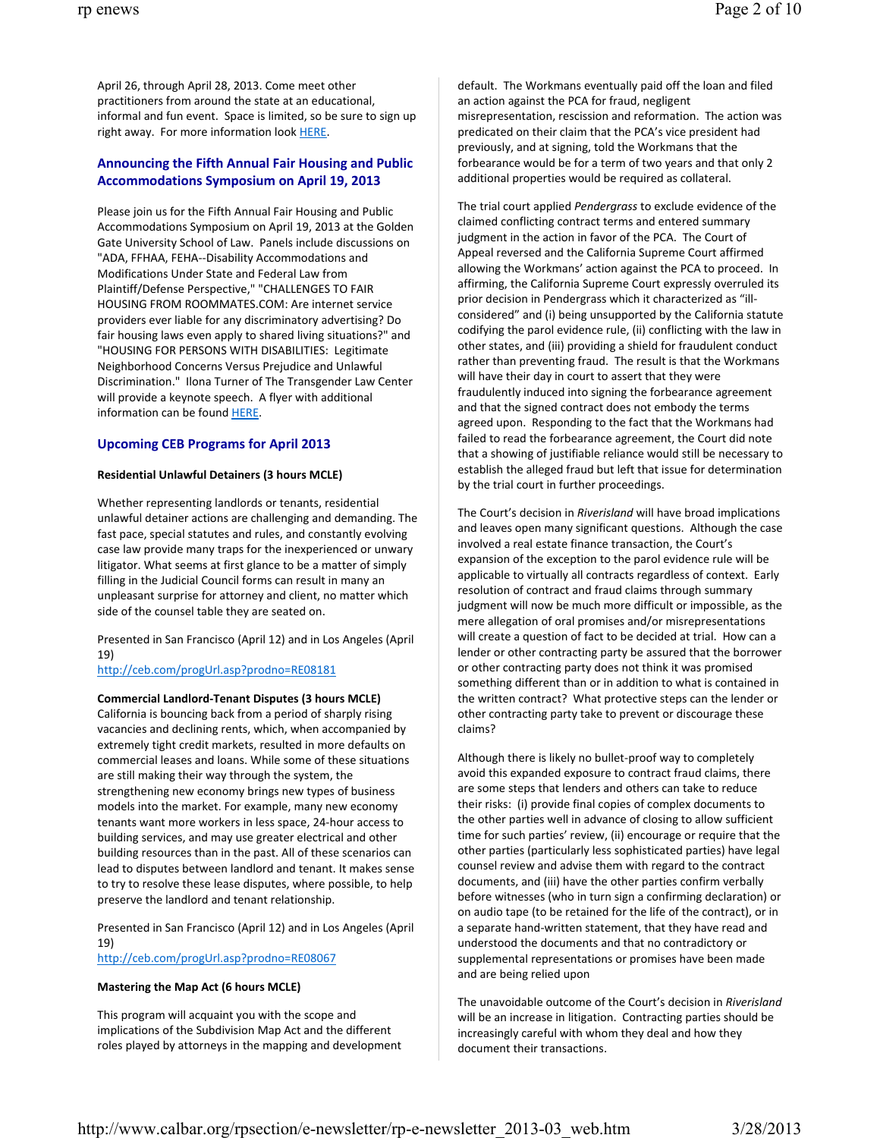April 26, through April 28, 2013. Come meet other practitioners from around the state at an educational, informal and fun event. Space is limited, so be sure to sign up right away. For more information look HERE.

#### **Announcing the Fifth Annual Fair Housing and Public Accommodations Symposium on April 19, 2013**

Please join us for the Fifth Annual Fair Housing and Public Accommodations Symposium on April 19, 2013 at the Golden Gate University School of Law. Panels include discussions on "ADA, FFHAA, FEHA--Disability Accommodations and Modifications Under State and Federal Law from Plaintiff/Defense Perspective," "CHALLENGES TO FAIR HOUSING FROM ROOMMATES.COM: Are internet service providers ever liable for any discriminatory advertising? Do fair housing laws even apply to shared living situations?" and "HOUSING FOR PERSONS WITH DISABILITIES: Legitimate Neighborhood Concerns Versus Prejudice and Unlawful Discrimination." Ilona Turner of The Transgender Law Center will provide a keynote speech. A flyer with additional information can be found HERE.

#### **Upcoming CEB Programs for April 2013**

#### **Residential Unlawful Detainers (3 hours MCLE)**

Whether representing landlords or tenants, residential unlawful detainer actions are challenging and demanding. The fast pace, special statutes and rules, and constantly evolving case law provide many traps for the inexperienced or unwary litigator. What seems at first glance to be a matter of simply filling in the Judicial Council forms can result in many an unpleasant surprise for attorney and client, no matter which side of the counsel table they are seated on.

Presented in San Francisco (April 12) and in Los Angeles (April 19)

http://ceb.com/progUrl.asp?prodno=RE08181

#### **Commercial LandlordTenant Disputes (3 hours MCLE)**

California is bouncing back from a period of sharply rising vacancies and declining rents, which, when accompanied by extremely tight credit markets, resulted in more defaults on commercial leases and loans. While some of these situations are still making their way through the system, the strengthening new economy brings new types of business models into the market. For example, many new economy tenants want more workers in less space, 24-hour access to building services, and may use greater electrical and other building resources than in the past. All of these scenarios can lead to disputes between landlord and tenant. It makes sense to try to resolve these lease disputes, where possible, to help preserve the landlord and tenant relationship.

Presented in San Francisco (April 12) and in Los Angeles (April 19)

http://ceb.com/progUrl.asp?prodno=RE08067

#### **Mastering the Map Act (6 hours MCLE)**

This program will acquaint you with the scope and implications of the Subdivision Map Act and the different roles played by attorneys in the mapping and development default. The Workmans eventually paid off the loan and filed an action against the PCA for fraud, negligent misrepresentation, rescission and reformation. The action was predicated on their claim that the PCA's vice president had previously, and at signing, told the Workmans that the forbearance would be for a term of two years and that only 2 additional properties would be required as collateral.

The trial court applied *Pendergrass* to exclude evidence of the claimed conflicting contract terms and entered summary judgment in the action in favor of the PCA. The Court of Appeal reversed and the California Supreme Court affirmed allowing the Workmans' action against the PCA to proceed. In affirming, the California Supreme Court expressly overruled its prior decision in Pendergrass which it characterized as "illconsidered" and (i) being unsupported by the California statute codifying the parol evidence rule, (ii) conflicting with the law in other states, and (iii) providing a shield for fraudulent conduct rather than preventing fraud. The result is that the Workmans will have their day in court to assert that they were fraudulently induced into signing the forbearance agreement and that the signed contract does not embody the terms agreed upon. Responding to the fact that the Workmans had failed to read the forbearance agreement, the Court did note that a showing of justifiable reliance would still be necessary to establish the alleged fraud but left that issue for determination by the trial court in further proceedings.

The Court's decision in *Riverisland* will have broad implications and leaves open many significant questions. Although the case involved a real estate finance transaction, the Court's expansion of the exception to the parol evidence rule will be applicable to virtually all contracts regardless of context. Early resolution of contract and fraud claims through summary judgment will now be much more difficult or impossible, as the mere allegation of oral promises and/or misrepresentations will create a question of fact to be decided at trial. How can a lender or other contracting party be assured that the borrower or other contracting party does not think it was promised something different than or in addition to what is contained in the written contract? What protective steps can the lender or other contracting party take to prevent or discourage these claims?

Although there is likely no bullet-proof way to completely avoid this expanded exposure to contract fraud claims, there are some steps that lenders and others can take to reduce their risks: (i) provide final copies of complex documents to the other parties well in advance of closing to allow sufficient time for such parties' review, (ii) encourage or require that the other parties (particularly less sophisticated parties) have legal counsel review and advise them with regard to the contract documents, and (iii) have the other parties confirm verbally before witnesses (who in turn sign a confirming declaration) or on audio tape (to be retained for the life of the contract), or in a separate hand-written statement, that they have read and understood the documents and that no contradictory or supplemental representations or promises have been made and are being relied upon

The unavoidable outcome of the Court's decision in *Riverisland* will be an increase in litigation. Contracting parties should be increasingly careful with whom they deal and how they document their transactions.